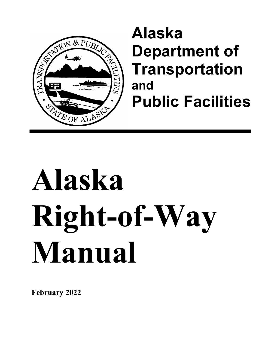

### **Alaska Department of Transportation and Public Facilities**

# **Alaska Right-of-Way Manual**

**February 2022**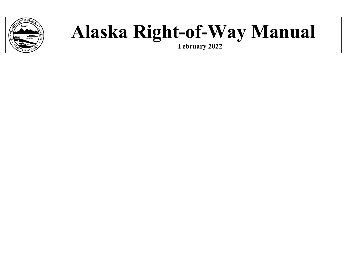

## **Alaska Right-of-Way Manual**

**February 2022**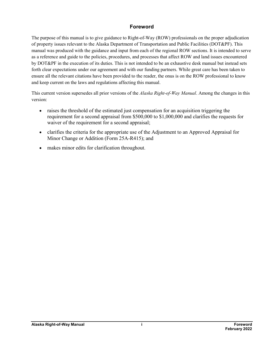#### **Foreword**

The purpose of this manual is to give guidance to Right-of-Way (ROW) professionals on the proper adjudication of property issues relevant to the Alaska Department of Transportation and Public Facilities (DOT&PF). This manual was produced with the guidance and input from each of the regional ROW sections. It is intended to serve as a reference and guide to the policies, procedures, and processes that affect ROW and land issues encountered by DOT&PF in the execution of its duties. This is not intended to be an exhaustive desk manual but instead sets forth clear expectations under our agreement and with our funding partners. While great care has been taken to ensure all the relevant citations have been provided to the reader, the onus is on the ROW professional to know and keep current on the laws and regulations affecting this manual.

This current version supersedes all prior versions of the *Alaska Right-of-Way Manual*. Among the changes in this version:

- raises the threshold of the estimated just compensation for an acquisition triggering the requirement for a second appraisal from \$500,000 to \$1,000,000 and clarifies the requests for waiver of the requirement for a second appraisal;
- clarifies the criteria for the appropriate use of the [Adjustment to an Approved Appraisal for](https://dot.alaska.gov/stwddes/dcsrow/assets/pdf/forms/25a_r415.pdf)  [Minor Change or Addition \(Form](https://dot.alaska.gov/stwddes/dcsrow/assets/pdf/forms/25a_r415.pdf) 25A-R415); and
- makes minor edits for clarification throughout.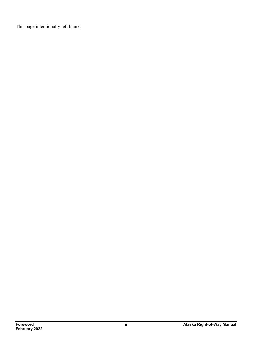This page intentionally left blank.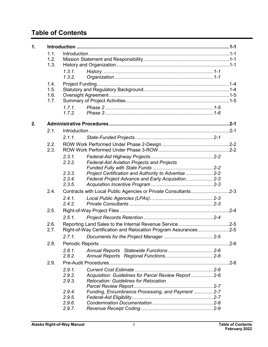### **Table of Contents**

| $\mathbf{1}$ . |      |                  |                                                                 |  |          |  |
|----------------|------|------------------|-----------------------------------------------------------------|--|----------|--|
|                | 1.1. |                  |                                                                 |  |          |  |
|                | 1.2. |                  |                                                                 |  |          |  |
|                | 1.3. |                  |                                                                 |  |          |  |
|                |      | 1, 3, 1,         |                                                                 |  |          |  |
|                |      | 1.3.2.           |                                                                 |  |          |  |
|                | 1.4. |                  |                                                                 |  |          |  |
|                | 1.5. |                  |                                                                 |  |          |  |
|                | 1.6. |                  |                                                                 |  |          |  |
|                | 1.7. |                  |                                                                 |  |          |  |
|                |      | 1.7.1.           |                                                                 |  |          |  |
|                |      | 1.7.2.           |                                                                 |  |          |  |
| 2.             |      |                  |                                                                 |  |          |  |
|                | 2.1. |                  |                                                                 |  |          |  |
|                |      | 2.1.1.           |                                                                 |  |          |  |
|                | 2.2. |                  |                                                                 |  |          |  |
|                | 2.3. |                  |                                                                 |  |          |  |
|                |      | 2.3.1.           |                                                                 |  |          |  |
|                |      | 2.3.2.           | Federal-Aid Aviation Projects and Projects                      |  |          |  |
|                |      |                  |                                                                 |  |          |  |
|                |      | 2.3.3.           | Project Certification and Authority to Advertise  2-2           |  |          |  |
|                |      | 2.3.4.           | Federal Project Advance and Early Acquisition 2-3               |  |          |  |
|                |      | 2.3.5.           |                                                                 |  |          |  |
|                | 2.4. |                  | Contracts with Local Public Agencies or Private Consultants2-3  |  |          |  |
|                |      | 2.4.1            |                                                                 |  |          |  |
|                |      | 2.4.2.           |                                                                 |  |          |  |
|                | 2.5. |                  |                                                                 |  |          |  |
|                |      | 2.5.1            |                                                                 |  |          |  |
|                | 2.6. |                  |                                                                 |  |          |  |
|                | 2.7. |                  | Right-of-Way Certification and Relocation Program Assurances2-5 |  |          |  |
|                |      | 2.7.1.           |                                                                 |  |          |  |
|                | 2.8. |                  |                                                                 |  | $.2 - 6$ |  |
|                |      | 2.8.1.           |                                                                 |  |          |  |
|                |      | 2.8.2.           |                                                                 |  |          |  |
|                | 2.9. |                  |                                                                 |  | .2-6     |  |
|                |      | $2.9.1$ .        |                                                                 |  |          |  |
|                |      | 2.9.2.           | Acquisition: Guidelines for Parcel Review Report  2-6           |  |          |  |
|                |      | 2.9.3.           | <b>Relocation: Guidelines for Relocation</b>                    |  |          |  |
|                |      |                  |                                                                 |  |          |  |
|                |      | 2.9.4.           | Funding, Encumbrance Processing, and Payment  2-7               |  |          |  |
|                |      | 2.9.5.<br>2.9.6. |                                                                 |  |          |  |
|                |      | 2.9.7.           |                                                                 |  |          |  |
|                |      |                  |                                                                 |  |          |  |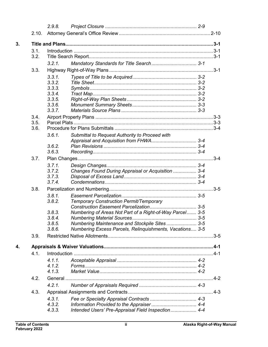|    |       | 2.9.8.           |                                                          |  |          |  |  |
|----|-------|------------------|----------------------------------------------------------|--|----------|--|--|
|    | 2.10. |                  |                                                          |  |          |  |  |
| 3. |       |                  |                                                          |  |          |  |  |
|    | 3.1.  |                  |                                                          |  |          |  |  |
|    | 3.2.  |                  |                                                          |  |          |  |  |
|    |       | $3.2.1$ .        |                                                          |  |          |  |  |
|    | 3.3.  |                  |                                                          |  |          |  |  |
|    |       | 3.3.1.           |                                                          |  |          |  |  |
|    |       | 3.3.2.           |                                                          |  |          |  |  |
|    |       | 3.3.3.           |                                                          |  |          |  |  |
|    |       | 3.3.4.           |                                                          |  |          |  |  |
|    |       | 3.3.5.           |                                                          |  |          |  |  |
|    |       | 3.3.6.           |                                                          |  |          |  |  |
|    |       | 3.3.7.           |                                                          |  |          |  |  |
|    | 3.4.  |                  |                                                          |  |          |  |  |
|    | 3.5.  |                  |                                                          |  |          |  |  |
|    | 3.6.  |                  |                                                          |  |          |  |  |
|    |       | 3.6.1.           | Submittal to Request Authority to Proceed with           |  |          |  |  |
|    |       |                  | Appraisal and Acquisition from FHWA 3-4                  |  |          |  |  |
|    |       | 3.6.2.           |                                                          |  |          |  |  |
|    |       | 3.6.3.           |                                                          |  |          |  |  |
|    | 3.7.  |                  |                                                          |  | $.3 - 4$ |  |  |
|    |       | 3.7.1.           |                                                          |  |          |  |  |
|    |       | 3.7.2.           | Changes Found During Appraisal or Acquisition  3-4       |  |          |  |  |
|    |       | 3.7.3.           |                                                          |  |          |  |  |
|    |       | 3.7.4.           |                                                          |  |          |  |  |
|    | 3.8.  |                  |                                                          |  |          |  |  |
|    |       | 3.8.1            |                                                          |  |          |  |  |
|    |       | 3.8.2.           | <b>Temporary Construction Permit/Temporary</b>           |  |          |  |  |
|    |       |                  |                                                          |  |          |  |  |
|    |       | 3.8.3.           | Numbering of Areas Not Part of a Right-of-Way Parcel 3-5 |  |          |  |  |
|    |       | 3.8.4.           |                                                          |  |          |  |  |
|    |       | 3.8.5.<br>3.8.6. | Numbering Maintenance and Stockpile Sites 3-5            |  |          |  |  |
|    | 3.9.  |                  | Numbering Excess Parcels, Relinquishments, Vacations 3-5 |  |          |  |  |
|    |       |                  |                                                          |  |          |  |  |
| 4. |       |                  |                                                          |  |          |  |  |
|    | 4.1.  |                  |                                                          |  |          |  |  |
|    |       | 4.1.1.           |                                                          |  |          |  |  |
|    |       | 4.1.2.           |                                                          |  |          |  |  |
|    |       | 4.1.3.           |                                                          |  |          |  |  |
|    | 4.2.  |                  |                                                          |  | $4-2$    |  |  |
|    |       | 4.2.1.           |                                                          |  |          |  |  |
|    | 4.3.  |                  |                                                          |  | $4 - 3$  |  |  |
|    |       | 4.3.1.           |                                                          |  |          |  |  |
|    |       | 4.3.2.           |                                                          |  |          |  |  |
|    |       | 4.3.3.           | Intended Users' Pre-Appraisal Field Inspection 4-4       |  |          |  |  |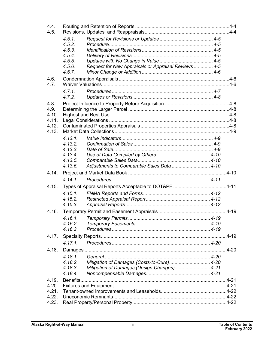| 4.4.<br>4.5.   |                    |                                                      |         |  |  |  |  |
|----------------|--------------------|------------------------------------------------------|---------|--|--|--|--|
|                | 4.5.1.             |                                                      |         |  |  |  |  |
|                | 4.5.2.             |                                                      |         |  |  |  |  |
|                | 4.5.3.             |                                                      |         |  |  |  |  |
|                | 4.5.4.             |                                                      |         |  |  |  |  |
|                | 4.5.5.             |                                                      |         |  |  |  |  |
|                | 4.5.6.             | Request for New Appraisals or Appraisal Reviews  4-5 |         |  |  |  |  |
|                | 4.5.7.             |                                                      |         |  |  |  |  |
| 4.6.           |                    |                                                      |         |  |  |  |  |
| 4.7.           |                    |                                                      |         |  |  |  |  |
|                | 4.7.1.             |                                                      |         |  |  |  |  |
|                | 4.7.2.             |                                                      |         |  |  |  |  |
| 4.8.           |                    |                                                      |         |  |  |  |  |
| 4.9.           |                    |                                                      |         |  |  |  |  |
| 4.10.          |                    |                                                      |         |  |  |  |  |
| 4.11.<br>4.12. |                    |                                                      |         |  |  |  |  |
| 4.13.          |                    |                                                      |         |  |  |  |  |
|                | 4.13.1.            |                                                      |         |  |  |  |  |
|                | 4.13.2.            |                                                      |         |  |  |  |  |
|                | 4.13.3.            |                                                      |         |  |  |  |  |
|                | 4.13.4.            |                                                      |         |  |  |  |  |
|                | 4.13.5.            |                                                      |         |  |  |  |  |
|                | 4.13.6.            | Adjustments to Comparable Sales Data  4-10           |         |  |  |  |  |
| 4.14.          |                    |                                                      |         |  |  |  |  |
|                | 4.14.1             |                                                      |         |  |  |  |  |
| 4.15.          |                    |                                                      |         |  |  |  |  |
|                | 4.15.1.            |                                                      |         |  |  |  |  |
|                | 4.15.2.            |                                                      |         |  |  |  |  |
|                | 4.15.3.            |                                                      |         |  |  |  |  |
| 4.16.          |                    |                                                      |         |  |  |  |  |
|                |                    | 4.16.1. Temporary Permits                            | $-4-19$ |  |  |  |  |
|                | 4.16.2.            |                                                      |         |  |  |  |  |
|                | 4.16.3.            |                                                      |         |  |  |  |  |
|                |                    |                                                      |         |  |  |  |  |
|                | 4.17.1.            |                                                      |         |  |  |  |  |
| 4.18.          |                    |                                                      |         |  |  |  |  |
|                | 4.18.1             |                                                      |         |  |  |  |  |
|                | 4.18.2.            | Mitigation of Damages (Costs-to-Cure) 4-20           |         |  |  |  |  |
|                | 4.18.3.<br>4.18.4. | Mitigation of Damages (Design Changes) 4-21          |         |  |  |  |  |
|                |                    |                                                      |         |  |  |  |  |
| 4.19.<br>4.20. |                    |                                                      |         |  |  |  |  |
| 4.21.          |                    |                                                      |         |  |  |  |  |
| 4.22.          |                    |                                                      |         |  |  |  |  |
| 4.23.          |                    |                                                      |         |  |  |  |  |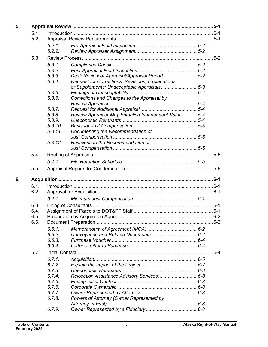| 5. |      |                 |                                                       |  |             |  |
|----|------|-----------------|-------------------------------------------------------|--|-------------|--|
|    | 5.1. |                 |                                                       |  |             |  |
|    | 5.2. |                 |                                                       |  |             |  |
|    |      | 5.2.1.          |                                                       |  |             |  |
|    |      | 5.2.2.          |                                                       |  |             |  |
|    | 5.3. |                 |                                                       |  | $\dots$ 5-2 |  |
|    |      | 5.3.1.          |                                                       |  |             |  |
|    |      | 5.3.2.          |                                                       |  |             |  |
|    |      | 5.3.3.          | Desk Review of Appraisal/Appraisal Report  5-2        |  |             |  |
|    |      | 5.3.4.          | Request for Corrections, Revisions, Explanations,     |  |             |  |
|    |      |                 | or Supplements; Unacceptable Appraisals 5-3           |  |             |  |
|    |      | 5.3.5.          |                                                       |  |             |  |
|    |      | 5.3.6.          | Corrections and Changes to the Appraisal by           |  |             |  |
|    |      |                 |                                                       |  |             |  |
|    |      | 5.3.7.          |                                                       |  |             |  |
|    |      | 5.3.8.          | Review Appraiser May Establish Independent Value  5-4 |  |             |  |
|    |      | 5.3.9.          |                                                       |  |             |  |
|    |      | 5.3.10.         |                                                       |  |             |  |
|    |      | 5.3.11.         | Documenting the Recommendation of                     |  |             |  |
|    |      |                 |                                                       |  |             |  |
|    |      | 5.3.12.         | Revisions to the Recommendation of                    |  |             |  |
|    |      |                 |                                                       |  |             |  |
|    | 5.4. |                 |                                                       |  |             |  |
|    |      | 5.4.1           |                                                       |  |             |  |
|    | 5.5. |                 |                                                       |  |             |  |
|    |      |                 |                                                       |  |             |  |
| 6. |      |                 |                                                       |  |             |  |
|    | 6.1. |                 |                                                       |  |             |  |
|    | 6.2. |                 |                                                       |  |             |  |
|    |      | 6.2.1.          |                                                       |  |             |  |
|    | 6.3. |                 |                                                       |  |             |  |
|    | 6.4. |                 |                                                       |  |             |  |
|    | 6.5. |                 |                                                       |  |             |  |
|    | 6.6. |                 |                                                       |  |             |  |
|    |      | 6.6.1.          |                                                       |  |             |  |
|    |      | 6.6.2.          |                                                       |  |             |  |
|    |      | 6.6.3.          |                                                       |  |             |  |
|    |      | 6.6.4.          |                                                       |  |             |  |
|    | 6.7. | Initial Contact |                                                       |  | $.6 - 4$    |  |
|    |      | 6.7.1.          |                                                       |  |             |  |
|    |      | 6.7.2.          |                                                       |  |             |  |
|    |      | 6.7.3.          |                                                       |  |             |  |
|    |      | 6.7.4.          | Relocation Assistance Advisory Services 6-8           |  |             |  |
|    |      | 6.7.5.          |                                                       |  |             |  |
|    |      | 6.7.6.          |                                                       |  |             |  |
|    |      | 6.7.7.          |                                                       |  |             |  |
|    |      | 6.7.8.          | Powers of Attorney (Owner Represented by              |  |             |  |
|    |      |                 |                                                       |  |             |  |
|    |      | 6.7.9.          |                                                       |  |             |  |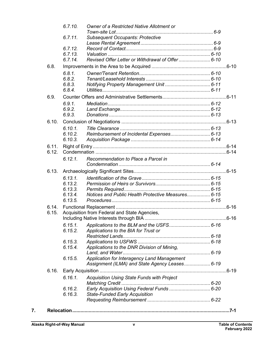|       | 6.7.10.    | Owner of a Restricted Native Allotment or                                                     |  |
|-------|------------|-----------------------------------------------------------------------------------------------|--|
|       | 6.7.11.    | <b>Subsequent Occupants: Protective</b>                                                       |  |
|       | 6.7.12.    |                                                                                               |  |
|       | 6.7.13.    |                                                                                               |  |
|       | 6.7.14.    |                                                                                               |  |
| 6.8.  |            |                                                                                               |  |
|       | 6.8.1.     |                                                                                               |  |
|       | 6.8.2.     |                                                                                               |  |
|       | 6.8.3.     |                                                                                               |  |
|       | 6.8.4.     |                                                                                               |  |
| 6.9.  |            |                                                                                               |  |
|       | 6.9.1.     |                                                                                               |  |
|       | 6.9.2.     |                                                                                               |  |
|       | 6.9.3.     |                                                                                               |  |
| 6.10. |            |                                                                                               |  |
|       | $6.10.1$ . |                                                                                               |  |
|       | 6.10.2.    |                                                                                               |  |
|       | 6.10.3.    |                                                                                               |  |
| 6.11. |            |                                                                                               |  |
| 6.12. |            |                                                                                               |  |
|       | 6.12.1     | Recommendation to Place a Parcel in                                                           |  |
| 6.13. |            |                                                                                               |  |
|       | 6.13.1.    |                                                                                               |  |
|       | 6.13.2.    |                                                                                               |  |
|       | 6.13.3.    |                                                                                               |  |
|       | 6.13.4.    | Notices and Public Health Protective Measures 6-15                                            |  |
|       | 6.13.5.    |                                                                                               |  |
| 6.14. |            |                                                                                               |  |
| 6.15. |            | Acquisition from Federal and State Agencies,                                                  |  |
|       | 6.15.1.    |                                                                                               |  |
|       | 6.15.2.    | Applications to the BIA for Trust or                                                          |  |
|       |            |                                                                                               |  |
|       | 6.15.3.    |                                                                                               |  |
|       | 6.15.4.    | Applications to the DNR Division of Mining,                                                   |  |
|       |            |                                                                                               |  |
|       | 6.15.5.    | Application for Interagency Land Management<br>Assignment (ILMA) and State Agency Leases 6-19 |  |
| 6.16. |            |                                                                                               |  |
|       | 6.16.1.    | <b>Acquisition Using State Funds with Project</b>                                             |  |
|       |            |                                                                                               |  |
|       | 6.16.2.    | Early Acquisition Using Federal Funds  6-20                                                   |  |
|       |            |                                                                                               |  |
|       | 6.16.3.    |                                                                                               |  |
|       |            | <b>State-Funded Early Acquisition</b>                                                         |  |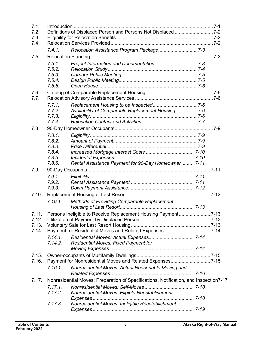| 7.1.<br>7.2.<br>7.3.<br>7.4. |                  |                                                                                       |  |  |  |  |
|------------------------------|------------------|---------------------------------------------------------------------------------------|--|--|--|--|
|                              | 7.4.1.           |                                                                                       |  |  |  |  |
| 7.5.                         |                  |                                                                                       |  |  |  |  |
|                              | 7.5.1.<br>7.5.2. |                                                                                       |  |  |  |  |
|                              | 7.5.3.           |                                                                                       |  |  |  |  |
|                              | 7.5.4.           |                                                                                       |  |  |  |  |
|                              | 7.5.5.           |                                                                                       |  |  |  |  |
| 7.6.<br>7.7.                 |                  |                                                                                       |  |  |  |  |
|                              | 7.7.1.           |                                                                                       |  |  |  |  |
|                              | 7.7.2.           | Availability of Comparable Replacement Housing 7-6                                    |  |  |  |  |
|                              | 7.7.3.           |                                                                                       |  |  |  |  |
|                              | 7.7.4.           |                                                                                       |  |  |  |  |
| 7.8.                         |                  |                                                                                       |  |  |  |  |
|                              | 7.8.1.           |                                                                                       |  |  |  |  |
|                              | 7.8.2.           |                                                                                       |  |  |  |  |
|                              | 7.8.3.           |                                                                                       |  |  |  |  |
|                              | 7.8.4.<br>7.8.5. |                                                                                       |  |  |  |  |
|                              | 7.8.6.           | Rental Assistance Payment for 90-Day Homeowner 7-11                                   |  |  |  |  |
| 7.9.                         |                  |                                                                                       |  |  |  |  |
|                              | 7.9.1.           |                                                                                       |  |  |  |  |
|                              | 7.9.2.           |                                                                                       |  |  |  |  |
|                              | 7.9.3.           |                                                                                       |  |  |  |  |
| 7.10.                        |                  |                                                                                       |  |  |  |  |
|                              | 7.10.1.          | Methods of Providing Comparable Replacement                                           |  |  |  |  |
| 7.11.                        |                  | Persons Ineligible to Receive Replacement Housing Payment7-13                         |  |  |  |  |
| 7.12.                        |                  |                                                                                       |  |  |  |  |
| 7.13.<br>7.14.               |                  |                                                                                       |  |  |  |  |
|                              | 7.14.1.          |                                                                                       |  |  |  |  |
|                              | 7.14.2.          | <b>Residential Moves: Fixed Payment for</b>                                           |  |  |  |  |
|                              |                  |                                                                                       |  |  |  |  |
| 7.15.                        |                  |                                                                                       |  |  |  |  |
| 7.16.                        |                  | Payment for Nonresidential Moves and Related Expenses7-15                             |  |  |  |  |
|                              | 7.16.1.          | Nonresidential Moves: Actual Reasonable Moving and                                    |  |  |  |  |
| 7.17.                        |                  | Nonresidential Moves: Preparation of Specifications, Notification, and Inspection7-17 |  |  |  |  |
|                              | $7.17.1$ .       |                                                                                       |  |  |  |  |
|                              | 7.17.2.          | Nonresidential Moves: Eligible Reestablishment                                        |  |  |  |  |
|                              | 7.17.3.          | Nonresidential Moves: Ineligible Reestablishment                                      |  |  |  |  |
|                              |                  |                                                                                       |  |  |  |  |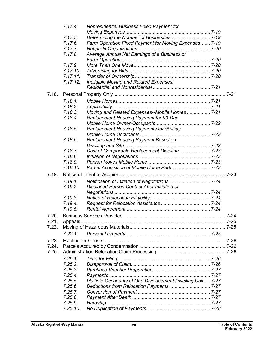|       | $7.17.4$ . | Nonresidential Business Fixed Payment for                 |  |
|-------|------------|-----------------------------------------------------------|--|
|       |            |                                                           |  |
|       | 7.17.5.    |                                                           |  |
|       | $7.17.6$ . | Farm Operation Fixed Payment for Moving Expenses 7-19     |  |
|       | 7.17.7.    |                                                           |  |
|       | 7.17.8.    | Average Annual Net Earnings of a Business or              |  |
|       |            |                                                           |  |
|       | 7.17.9.    |                                                           |  |
|       | 7.17.10.   |                                                           |  |
|       | 7.17.11.   |                                                           |  |
|       | 7.17.12.   | Ineligible Moving and Related Expenses:                   |  |
|       |            |                                                           |  |
| 7.18. |            |                                                           |  |
|       | 7.18.1.    |                                                           |  |
|       | 7.18.2.    |                                                           |  |
|       | 7.18.3.    | Moving and Related Expenses--Mobile Homes  7-21           |  |
|       | 7.18.4.    | Replacement Housing Payment for 90-Day                    |  |
|       |            |                                                           |  |
|       | 7.18.5.    | Replacement Housing Payments for 90-Day                   |  |
|       |            |                                                           |  |
|       | 7.18.6.    | Replacement Housing Payment Based on                      |  |
|       |            |                                                           |  |
|       | 7.18.7.    | Cost of Comparable Replacement Dwelling 7-23              |  |
|       | 7.18.8.    |                                                           |  |
|       | 7.18.9.    |                                                           |  |
|       | 7.18.10.   |                                                           |  |
| 7.19. |            |                                                           |  |
|       | 7.19.1     |                                                           |  |
|       | 7.19.2.    | Displaced Person Contact After Initiation of              |  |
|       |            |                                                           |  |
|       | 7.19.3.    |                                                           |  |
|       | 7.19.4.    |                                                           |  |
|       | 7.19.5.    |                                                           |  |
| 7.20. |            |                                                           |  |
| 7.21. |            |                                                           |  |
| 7.22. |            |                                                           |  |
|       |            |                                                           |  |
|       | 7.22.1.    |                                                           |  |
| 7.23. |            |                                                           |  |
| 7.24. |            |                                                           |  |
| 7.25. |            |                                                           |  |
|       | 7.25.1.    |                                                           |  |
|       | 7.25.2.    |                                                           |  |
|       | 7.25.3.    |                                                           |  |
|       | 7.25.4     |                                                           |  |
|       | 7.25.5.    | Multiple Occupants of One Displacement Dwelling Unit 7-27 |  |
|       | $7.25.6$ . |                                                           |  |
|       | 7.25.7.    |                                                           |  |
|       | 7.25.8.    |                                                           |  |
|       | 7.25.9.    |                                                           |  |
|       | 7.25.10.   |                                                           |  |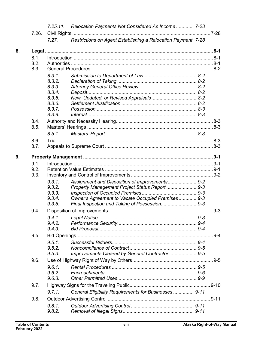|    |              | 7.25.11.         | Relocation Payments Not Considered As Income  7-28            |  |       |  |  |  |
|----|--------------|------------------|---------------------------------------------------------------|--|-------|--|--|--|
|    | 7.26.        |                  |                                                               |  |       |  |  |  |
|    |              | 7.27.            | Restrictions on Agent Establishing a Relocation Payment. 7-28 |  |       |  |  |  |
| 8. |              |                  |                                                               |  |       |  |  |  |
|    | 8.1.<br>8.2. |                  |                                                               |  |       |  |  |  |
|    | 8.3.         |                  |                                                               |  |       |  |  |  |
|    |              | 8.3.1.           |                                                               |  |       |  |  |  |
|    |              | 8.3.2.           |                                                               |  |       |  |  |  |
|    |              | 8.3.3.           |                                                               |  |       |  |  |  |
|    |              | 8.3.4.           |                                                               |  |       |  |  |  |
|    |              | 8.3.5.           | New, Updated, or Revised Appraisals 8-2                       |  |       |  |  |  |
|    |              | 8.3.6.           |                                                               |  |       |  |  |  |
|    |              | 8.3.7.<br>8.3.8. |                                                               |  |       |  |  |  |
|    |              |                  |                                                               |  |       |  |  |  |
|    | 8.4.         |                  |                                                               |  |       |  |  |  |
|    | 8.5.         |                  |                                                               |  |       |  |  |  |
|    |              | 8.5.1.           |                                                               |  |       |  |  |  |
|    | 8.6.         |                  |                                                               |  |       |  |  |  |
|    | 8.7.         |                  |                                                               |  |       |  |  |  |
| 9. |              |                  |                                                               |  |       |  |  |  |
|    | 9.1.         |                  |                                                               |  |       |  |  |  |
|    | 9.2.         |                  |                                                               |  |       |  |  |  |
|    | 9.3.         |                  |                                                               |  |       |  |  |  |
|    |              | 9.3.1.           |                                                               |  |       |  |  |  |
|    |              | 9.3.2.           | Property Management Project Status Report  9-3                |  |       |  |  |  |
|    |              | 9.3.3.           |                                                               |  |       |  |  |  |
|    |              | 9.3.4.           | Owner's Agreement to Vacate Occupied Premises 9-3             |  |       |  |  |  |
|    |              | 9.3.5.           |                                                               |  |       |  |  |  |
|    | 9.4.         |                  |                                                               |  |       |  |  |  |
|    |              | 9.4.1.           |                                                               |  |       |  |  |  |
|    |              | 9.4.2.           |                                                               |  |       |  |  |  |
|    |              | 9.4.3.           |                                                               |  |       |  |  |  |
|    | 9.5.         |                  |                                                               |  | $9-4$ |  |  |  |
|    |              | 9.5.1            |                                                               |  |       |  |  |  |
|    |              | 9.5.2.           |                                                               |  |       |  |  |  |
|    |              | 9.5.3.           | Improvements Cleared by General Contractor  9-5               |  |       |  |  |  |
|    | 9.6.         |                  |                                                               |  | $9-5$ |  |  |  |
|    |              | 9.6.1.           |                                                               |  |       |  |  |  |
|    |              | 9.6.2.           |                                                               |  |       |  |  |  |
|    |              | 9.6.3.           |                                                               |  |       |  |  |  |
|    | 9.7.         |                  |                                                               |  |       |  |  |  |
|    |              | 9.7.1.           | General Eligibility Requirements for Businesses  9-11         |  |       |  |  |  |
|    | 9.8.         |                  |                                                               |  |       |  |  |  |
|    |              | 9.8.1.           |                                                               |  |       |  |  |  |
|    |              | 9.8.2.           |                                                               |  |       |  |  |  |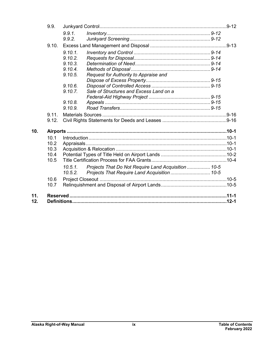|     | 9.9.  |            |                                                     |  |  |  |
|-----|-------|------------|-----------------------------------------------------|--|--|--|
|     |       | 9.9.1      |                                                     |  |  |  |
|     |       | 9.9.2.     |                                                     |  |  |  |
|     | 9.10. |            |                                                     |  |  |  |
|     |       | 9.10.1     |                                                     |  |  |  |
|     |       | 9.10.2.    |                                                     |  |  |  |
|     |       | 9.10.3.    |                                                     |  |  |  |
|     |       | 9.10.4.    |                                                     |  |  |  |
|     |       | 9.10.5.    | Request for Authority to Appraise and               |  |  |  |
|     |       |            |                                                     |  |  |  |
|     |       | 9.10.6.    |                                                     |  |  |  |
|     |       | 9.10.7.    | Sale of Structures and Excess Land on a             |  |  |  |
|     |       |            |                                                     |  |  |  |
|     |       | 9.10.8.    |                                                     |  |  |  |
|     |       | 9.10.9.    |                                                     |  |  |  |
|     | 9.11. |            |                                                     |  |  |  |
|     | 9.12. |            |                                                     |  |  |  |
| 10. |       |            |                                                     |  |  |  |
|     | 10.1  |            |                                                     |  |  |  |
|     | 10.2  |            |                                                     |  |  |  |
|     | 10.3  |            |                                                     |  |  |  |
|     | 10.4  |            |                                                     |  |  |  |
|     | 10.5  |            |                                                     |  |  |  |
|     |       |            |                                                     |  |  |  |
|     |       | $10.5.1$ . | Projects That Do Not Require Land Acquisition  10-5 |  |  |  |
|     |       | 10.5.2.    |                                                     |  |  |  |
|     | 10.6  |            |                                                     |  |  |  |
|     | 10.7  |            |                                                     |  |  |  |
| 11. |       |            |                                                     |  |  |  |
| 12. |       |            |                                                     |  |  |  |
|     |       |            |                                                     |  |  |  |